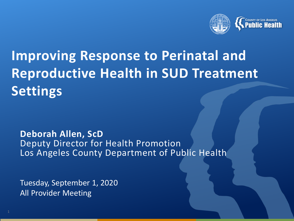

# **Improving Response to Perinatal and Reproductive Health in SUD Treatment Settings**

#### **Deborah Allen, ScD** Deputy Director for Health Promotion Los Angeles County Department of Public Health

Tuesday, September 1, 2020 All Provider Meeting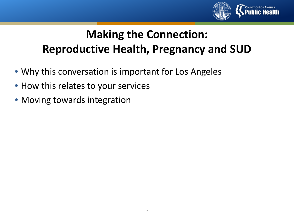

## **Making the Connection: Reproductive Health, Pregnancy and SUD**

- Why this conversation is important for Los Angeles
- How this relates to your services
- Moving towards integration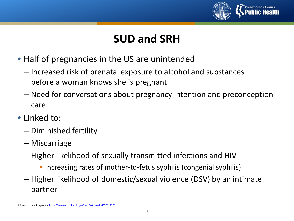

## **SUD and SRH**

- Half of pregnancies in the US are unintended
	- Increased risk of prenatal exposure to alcohol and substances before a woman knows she is pregnant
	- Need for conversations about pregnancy intention and preconception care
- Linked to:
	- Diminished fertility
	- Miscarriage
	- Higher likelihood of sexually transmitted infections and HIV
		- Increasing rates of mother-to-fetus syphilis (congenial syphilis)
	- Higher likelihood of domestic/sexual violence (DSV) by an intimate partner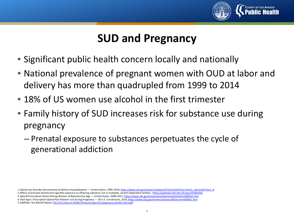

## **SUD and Pregnancy**

- Significant public health concern locally and nationally
- National prevalence of pregnant women with OUD at labor and delivery has more than quadrupled from 1999 to 2014
- 18% of US women use alcohol in the first trimester
- Family history of SUD increases risk for substance use during pregnancy
	- Prenatal exposure to substances perpetuates the cycle of generational addiction

2.Effects of prenatal alcohol and cigarette exposure on offspring substance use in multiplex, alcohol-dependent families ,<https://pubmed.ncbi.nlm.nih.gov/25581650/>

3.Opioid Prescription Claims Among Women of Reproductive Age — United States, 2008–2012, <https://www.cdc.gov/mmwr/preview/mmwrhtml/mm6402a1.htm>

*4.Vital Signs:* Prescription Opioid Pain Reliever Use During Pregnancy — 34 U.S. Jurisdictions, 2019, <https://www.cdc.gov/mmwr/volumes/69/wr/mm6928a1.htm> 5.SAMHSA, The NAUSH Report, file:///C:/Users/c195467/Pictures/spot123-pregnancy-alcohol-2013.pdf

<sup>1.</sup>Opioid Use Disorder Documented at Delivery Hospitalization — United States, 1999-2014; [https://www.cdc.gov/mmwr/volumes/67/wr/mm6731a1.htm?s\\_cid=mm6731a1\\_w](https://www.cdc.gov/mmwr/volumes/67/wr/mm6731a1.htm?s_cid=mm6731a1_w)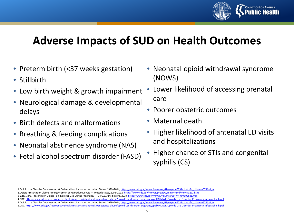

### **Adverse Impacts of SUD on Health Outcomes**

- Preterm birth (<37 weeks gestation)
- Stillbirth
- Low birth weight & growth impairment
- Neurological damage & developmental delays
- Birth defects and malformations
- Breathing & feeding complications
- Neonatal abstinence syndrome (NAS)
- Fetal alcohol spectrum disorder (FASD)
- Neonatal opioid withdrawal syndrome (NOWS)
- Lower likelihood of accessing prenatal care
- Poorer obstetric outcomes
- Maternal death
- Higher likelihood of antenatal ED visits and hospitalizations
- Higher chance of STIs and congenital syphilis (CS)

<sup>1.</sup>Opioid Use Disorder Documented at Delivery Hospitalization — United States, 1999-2014; [https://www.cdc.gov/mmwr/volumes/67/wr/mm6731a1.htm?s\\_cid=mm6731a1\\_w](https://www.cdc.gov/mmwr/volumes/67/wr/mm6731a1.htm?s_cid=mm6731a1_w)

<sup>2.</sup>Opioid Prescription Claims Among Women of Reproductive Age — United States, 2008–2012, <https://www.cdc.gov/mmwr/preview/mmwrhtml/mm6402a1.htm>

*<sup>3.</sup>Vital Signs:* Prescription Opioid Pain Reliever Use During Pregnancy — 34 U.S. Jurisdictions, 2019, <https://www.cdc.gov/mmwr/volumes/69/wr/mm6928a1.htm>

<sup>4.</sup>CDC,<https://www.cdc.gov/reproductivehealth/maternalinfanthealth/substance-abuse/opioid-use-disorder-pregnancy/pdf/MMWR-Opioids-Use-Disorder-Pregnancy-Infographic-h.pdf> 5.Opioid Use Disorder Documented at Delivery Hospitalization — United States, 1999-2014; [https://www.cdc.gov/mmwr/volumes/67/wr/mm6731a1.htm?s\\_cid=mm6731a1\\_w](https://www.cdc.gov/mmwr/volumes/67/wr/mm6731a1.htm?s_cid=mm6731a1_w) 6.CDC,<https://www.cdc.gov/reproductivehealth/maternalinfanthealth/substance-abuse/opioid-use-disorder-pregnancy/pdf/MMWR-Opioids-Use-Disorder-Pregnancy-Infographic-h.pdf>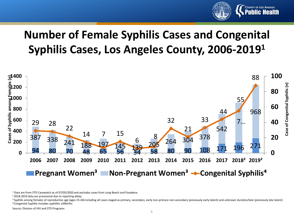

## **Number of Female Syphilis Cases and Congenital Syphilis Cases, Los Angeles County, 2006-20191**



Data are from STD Casewatch as of 07/05/2020 and excludes cases from Long Beach and Pasadena

Source: Division of HIV and STD Programs

<sup>&</sup>lt;sup>2</sup> 2018-2019 data are provisional due to reporting delay.<br><sup>3</sup> Syphilis among females of reproductive age (ages 15-44) including all cases staged as primary, secondary, early non-primary non-secondary (previously early lat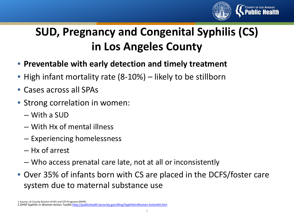

## **SUD, Pregnancy and Congenital Syphilis (CS) in Los Angeles County**

- **Preventable with early detection and timely treatment**
- High infant mortality rate (8-10%) likely to be stillborn
- Cases across all SPAs
- Strong correlation in women:
	- With a SUD
	- With Hx of mental illness
	- Experiencing homelessness
	- Hx of arrest
	- Who access prenatal care late, not at all or inconsistently
- Over 35% of infants born with CS are placed in the DCFS/foster care system due to maternal substance use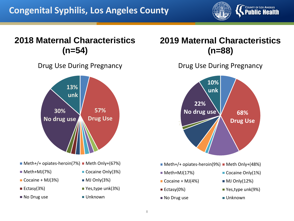

#### **2018 Maternal Characteristics (n=54)**

Drug Use During Pregnancy



- $M$  Meth+/+ opiates-heroin(7%) Meth Only+(67%)
- 
- $\blacksquare$  Cocaine + MJ(3%)  $\blacksquare$  MJ Only(3%)
- 
- No Drug use Unknown
- Meth+MJ(7%) Cocaine Only(3%)
	-
- Ectasy(3%) Yes,type unk(3%)
	-

#### **2019 Maternal Characteristics (n=88)**

Drug Use During Pregnancy



 $\blacksquare$  Meth+/+ opiates-heroin(9%)  $\blacksquare$  Meth Only+(48%)

- 
- $\blacksquare$  Cocaine + MJ(4%)  $\blacksquare$  MJ Only(12%)
- 
- No Drug use Unknown
- $\blacksquare$  Meth+MJ(17%)  $\blacksquare$  Cocaine Only(1%)
	-
- $\blacksquare$  Ectasy(0%)  $\blacksquare$  Yes,type unk(9%)
	-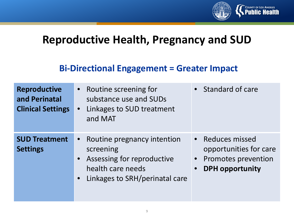

#### **Reproductive Health, Pregnancy and SUD**

#### **Bi-Directional Engagement = Greater Impact**

| <b>Reproductive</b><br>and Perinatal<br><b>Clinical Settings</b> | Routine screening for<br>substance use and SUDs<br>Linkages to SUD treatment<br>$\bullet$<br>and MAT                                         | • Standard of care                                                                                                    |
|------------------------------------------------------------------|----------------------------------------------------------------------------------------------------------------------------------------------|-----------------------------------------------------------------------------------------------------------------------|
| <b>SUD Treatment</b><br><b>Settings</b>                          | Routine pregnancy intention<br>$\bullet$<br>screening<br>Assessing for reproductive<br>health care needs<br>• Linkages to SRH/perinatal care | • Reduces missed<br>opportunities for care<br>Promotes prevention<br>$\bullet$<br><b>DPH</b> opportunity<br>$\bullet$ |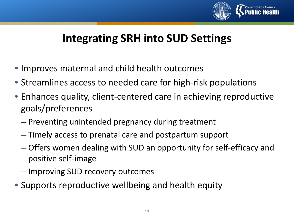

## **Integrating SRH into SUD Settings**

- Improves maternal and child health outcomes
- Streamlines access to needed care for high-risk populations
- Enhances quality, client-centered care in achieving reproductive goals/preferences
	- Preventing unintended pregnancy during treatment
	- Timely access to prenatal care and postpartum support
	- Offers women dealing with SUD an opportunity for self-efficacy and positive self-image
	- Improving SUD recovery outcomes
- Supports reproductive wellbeing and health equity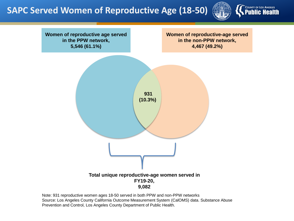**SAPC Served Women of Reproductive Age (18-50)**





Note: 931 reproductive women ages 18-50 served in both PPW and non-PPW networks Source: Los Angeles County California Outcome Measurement System (CalOMS) data. Substance Abuse Prevention and Control, Los Angeles County Department of Public Health.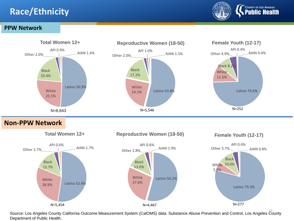#### **Race/Ethnicity**



#### **PPW Network**



**Non-PPW Network**



Source: Los Angeles County California Outcome Measurement System (CalOMS) data. Substance Abuse Prevention and Control, Los Angeles County Department of Public Health.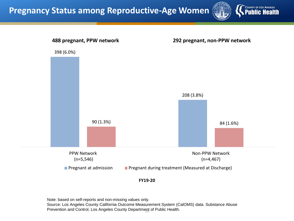



**FY19-20**

Prevention and Control, Los Angeles County Department of Public Health. Note: based on self-reports and non-missing values only. Source: Los Angeles County California Outcome Measurement System (CalOMS) data. Substance Abuse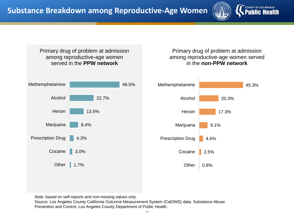



Note: based on self-reports and non-missing values only.

Source: Los Angeles County California Outcome Measurement System (CalOMS) data. Substance Abuse Prevention and Control, Los Angeles County Department of Public Health.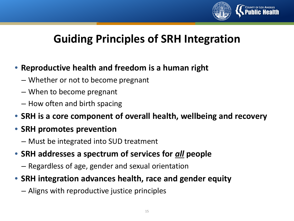

## **Guiding Principles of SRH Integration**

#### • **Reproductive health and freedom is a human right**

- Whether or not to become pregnant
- When to become pregnant
- How often and birth spacing
- **SRH is a core component of overall health, wellbeing and recovery**
- **SRH promotes prevention**
	- Must be integrated into SUD treatment
- **SRH addresses a spectrum of services for** *all* **people**
	- Regardless of age, gender and sexual orientation
- **SRH integration advances health, race and gender equity**
	- Aligns with reproductive justice principles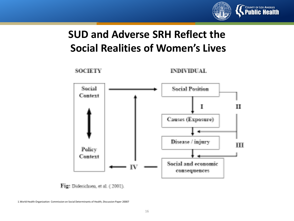

### **SUD and Adverse SRH Reflect the Social Realities of Women's Lives**



Fig. Diderichsen, et al. (2001).

1.World Health Organization Commission on Social Determinants of Health, Discussion Paper 20007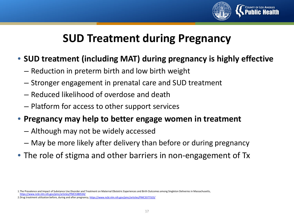

## **SUD Treatment during Pregnancy**

#### • **SUD treatment (including MAT) during pregnancy is highly effective**

- Reduction in preterm birth and low birth weight
- Stronger engagement in prenatal care and SUD treatment
- Reduced likelihood of overdose and death
- Platform for access to other support services
- **Pregnancy may help to better engage women in treatment** 
	- Although may not be widely accessed
	- May be more likely after delivery than before or during pregnancy
- The role of stigma and other barriers in non-engagement of Tx

<sup>1.</sup>The Prevalence and Impact of Substance Use Disorder and Treatment on Maternal Obstetric Experiences and Birth Outcomes among Singleton Deliveries in Massachusetts, <https://www.ncbi.nlm.nih.gov/pmc/articles/PMC5380534/>

<sup>2.</sup>Drug treatment utilization before, during and after pregnancy,<https://www.ncbi.nlm.nih.gov/pmc/articles/PMC3377323/>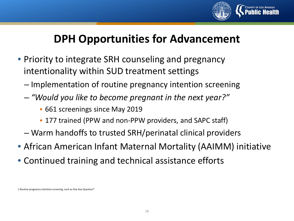

### **DPH Opportunities for Advancement**

- Priority to integrate SRH counseling and pregnancy intentionality within SUD treatment settings
	- Implementation of routine pregnancy intention screening
	- *"Would you like to become pregnant in the next year?"*
		- 661 screenings since May 2019
		- 177 trained (PPW and non-PPW providers, and SAPC staff)
	- Warm handoffs to trusted SRH/perinatal clinical providers
- African American Infant Maternal Mortality (AAIMM) initiative
- Continued training and technical assistance efforts

1.Routine pregnancy intention screening, such as One Key Question®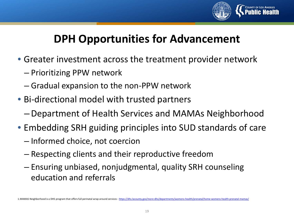

## **DPH Opportunities for Advancement**

- Greater investment across the treatment provider network
	- Prioritizing PPW network
	- Gradual expansion to the non-PPW network
- Bi-directional model with trusted partners
	- –Department of Health Services and MAMAs Neighborhood
- Embedding SRH guiding principles into SUD standards of care
	- Informed choice, not coercion
	- Respecting clients and their reproductive freedom
	- Ensuring unbiased, nonjudgmental, quality SRH counseling education and referrals